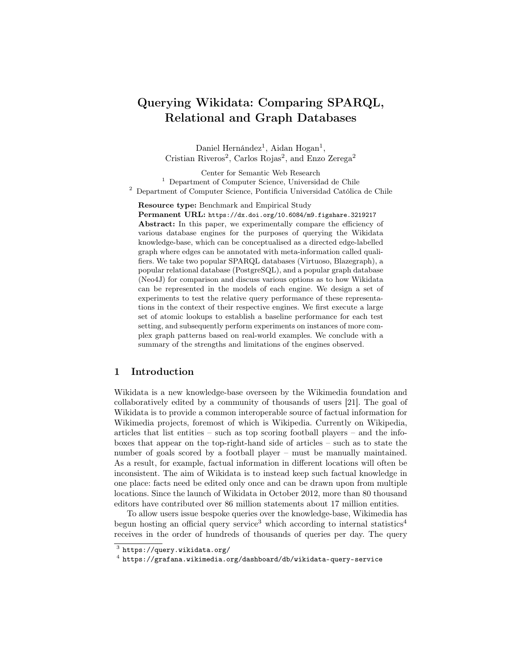# Querying Wikidata: Comparing SPARQL, Relational and Graph Databases

Daniel Hernández<sup>1</sup>, Aidan Hogan<sup>1</sup>, Cristian Riveros<sup>2</sup>, Carlos Rojas<sup>2</sup>, and Enzo Zerega<sup>2</sup>

Center for Semantic Web Research <sup>1</sup> Department of Computer Science, Universidad de Chile <sup>2</sup> Department of Computer Science, Pontificia Universidad Católica de Chile

Resource type: Benchmark and Empirical Study

Permanent URL: <https://dx.doi.org/10.6084/m9.figshare.3219217> Abstract: In this paper, we experimentally compare the efficiency of various database engines for the purposes of querying the Wikidata knowledge-base, which can be conceptualised as a directed edge-labelled graph where edges can be annotated with meta-information called qualifiers. We take two popular SPARQL databases (Virtuoso, Blazegraph), a popular relational database (PostgreSQL), and a popular graph database (Neo4J) for comparison and discuss various options as to how Wikidata can be represented in the models of each engine. We design a set of experiments to test the relative query performance of these representations in the context of their respective engines. We first execute a large set of atomic lookups to establish a baseline performance for each test setting, and subsequently perform experiments on instances of more complex graph patterns based on real-world examples. We conclude with a summary of the strengths and limitations of the engines observed.

# 1 Introduction

Wikidata is a new knowledge-base overseen by the Wikimedia foundation and collaboratively edited by a community of thousands of users [\[21\]](#page-15-0). The goal of Wikidata is to provide a common interoperable source of factual information for Wikimedia projects, foremost of which is Wikipedia. Currently on Wikipedia, articles that list entities – such as top scoring football players – and the infoboxes that appear on the top-right-hand side of articles – such as to state the number of goals scored by a football player – must be manually maintained. As a result, for example, factual information in different locations will often be inconsistent. The aim of Wikidata is to instead keep such factual knowledge in one place: facts need be edited only once and can be drawn upon from multiple locations. Since the launch of Wikidata in October 2012, more than 80 thousand editors have contributed over 86 million statements about 17 million entities.

To allow users issue bespoke queries over the knowledge-base, Wikimedia has begun hosting an official query service<sup>[3](#page-0-0)</sup> which according to internal statistics<sup>[4](#page-0-1)</sup> receives in the order of hundreds of thousands of queries per day. The query

<span id="page-0-0"></span> $^3$  <https://query.wikidata.org/>

<span id="page-0-1"></span> $^4$  <https://grafana.wikimedia.org/dashboard/db/wikidata-query-service>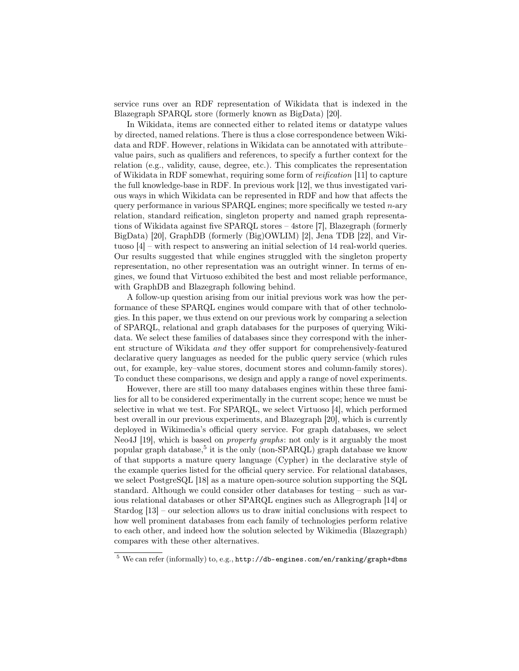service runs over an RDF representation of Wikidata that is indexed in the Blazegraph SPARQL store (formerly known as BigData) [\[20\]](#page-15-1).

In Wikidata, items are connected either to related items or datatype values by directed, named relations. There is thus a close correspondence between Wikidata and RDF. However, relations in Wikidata can be annotated with attribute– value pairs, such as qualifiers and references, to specify a further context for the relation (e.g., validity, cause, degree, etc.). This complicates the representation of Wikidata in RDF somewhat, requiring some form of reification [\[11\]](#page-15-2) to capture the full knowledge-base in RDF. In previous work [\[12\]](#page-15-3), we thus investigated various ways in which Wikidata can be represented in RDF and how that affects the query performance in various SPARQL engines; more specifically we tested  $n$ -ary relation, standard reification, singleton property and named graph representations of Wikidata against five SPARQL stores – 4store [\[7\]](#page-15-4), Blazegraph (formerly BigData) [\[20\]](#page-15-1), GraphDB (formerly (Big)OWLIM) [\[2\]](#page-15-5), Jena TDB [\[22\]](#page-15-6), and Virtuoso [\[4\]](#page-15-7) – with respect to answering an initial selection of 14 real-world queries. Our results suggested that while engines struggled with the singleton property representation, no other representation was an outright winner. In terms of engines, we found that Virtuoso exhibited the best and most reliable performance, with GraphDB and Blazegraph following behind.

A follow-up question arising from our initial previous work was how the performance of these SPARQL engines would compare with that of other technologies. In this paper, we thus extend on our previous work by comparing a selection of SPARQL, relational and graph databases for the purposes of querying Wikidata. We select these families of databases since they correspond with the inherent structure of Wikidata and they offer support for comprehensively-featured declarative query languages as needed for the public query service (which rules out, for example, key–value stores, document stores and column-family stores). To conduct these comparisons, we design and apply a range of novel experiments.

However, there are still too many databases engines within these three families for all to be considered experimentally in the current scope; hence we must be selective in what we test. For SPARQL, we select Virtuoso [\[4\]](#page-15-7), which performed best overall in our previous experiments, and Blazegraph [\[20\]](#page-15-1), which is currently deployed in Wikimedia's official query service. For graph databases, we select Neo4J [\[19\]](#page-15-8), which is based on property graphs: not only is it arguably the most popular graph database,<sup>[5](#page-1-0)</sup> it is the only (non-SPARQL) graph database we know of that supports a mature query language (Cypher) in the declarative style of the example queries listed for the official query service. For relational databases, we select PostgreSQL [\[18\]](#page-15-9) as a mature open-source solution supporting the SQL standard. Although we could consider other databases for testing – such as various relational databases or other SPARQL engines such as Allegrograph [\[14\]](#page-15-10) or Stardog [\[13\]](#page-15-11) – our selection allows us to draw initial conclusions with respect to how well prominent databases from each family of technologies perform relative to each other, and indeed how the solution selected by Wikimedia (Blazegraph) compares with these other alternatives.

<span id="page-1-0"></span> $5$  We can refer (informally) to, e.g.,  $\text{http://db-engines.com/en/ranking/graph+dbms}$  $\text{http://db-engines.com/en/ranking/graph+dbms}$  $\text{http://db-engines.com/en/ranking/graph+dbms}$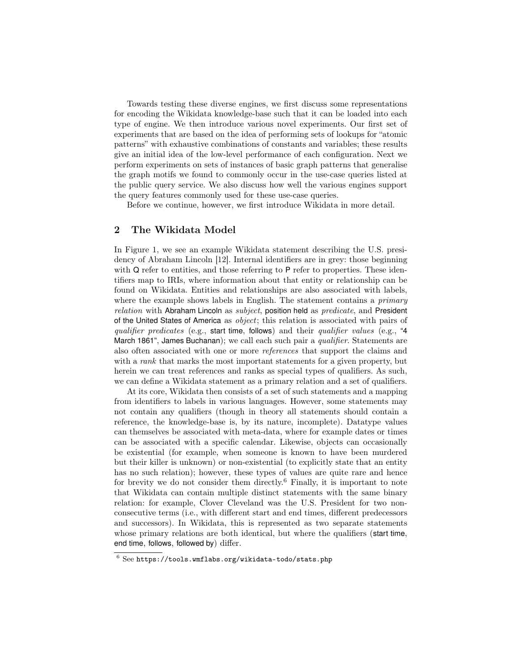Towards testing these diverse engines, we first discuss some representations for encoding the Wikidata knowledge-base such that it can be loaded into each type of engine. We then introduce various novel experiments. Our first set of experiments that are based on the idea of performing sets of lookups for "atomic patterns" with exhaustive combinations of constants and variables; these results give an initial idea of the low-level performance of each configuration. Next we perform experiments on sets of instances of basic graph patterns that generalise the graph motifs we found to commonly occur in the use-case queries listed at the public query service. We also discuss how well the various engines support the query features commonly used for these use-case queries.

Before we continue, however, we first introduce Wikidata in more detail.

# 2 The Wikidata Model

In Figure [1,](#page-3-0) we see an example Wikidata statement describing the U.S. presidency of Abraham Lincoln [\[12\]](#page-15-3). Internal identifiers are in grey: those beginning with Q refer to entities, and those referring to P refer to properties. These identifiers map to IRIs, where information about that entity or relationship can be found on Wikidata. Entities and relationships are also associated with labels, where the example shows labels in English. The statement contains a *primary* relation with Abraham Lincoln as subject, position held as predicate, and President of the United States of America as object; this relation is associated with pairs of qualifier predicates (e.g., start time, follows) and their qualifier values (e.g., "4 March 1861", James Buchanan); we call each such pair a qualifier. Statements are also often associated with one or more references that support the claims and with a *rank* that marks the most important statements for a given property, but herein we can treat references and ranks as special types of qualifiers. As such, we can define a Wikidata statement as a primary relation and a set of qualifiers.

At its core, Wikidata then consists of a set of such statements and a mapping from identifiers to labels in various languages. However, some statements may not contain any qualifiers (though in theory all statements should contain a reference, the knowledge-base is, by its nature, incomplete). Datatype values can themselves be associated with meta-data, where for example dates or times can be associated with a specific calendar. Likewise, objects can occasionally be existential (for example, when someone is known to have been murdered but their killer is unknown) or non-existential (to explicitly state that an entity has no such relation); however, these types of values are quite rare and hence for brevity we do not consider them directly.<sup>[6](#page-2-0)</sup> Finally, it is important to note that Wikidata can contain multiple distinct statements with the same binary relation: for example, Clover Cleveland was the U.S. President for two nonconsecutive terms (i.e., with different start and end times, different predecessors and successors). In Wikidata, this is represented as two separate statements whose primary relations are both identical, but where the qualifiers (start time, end time, follows, followed by) differ.

<span id="page-2-0"></span> $6$  See <https://tools.wmflabs.org/wikidata-todo/stats.php>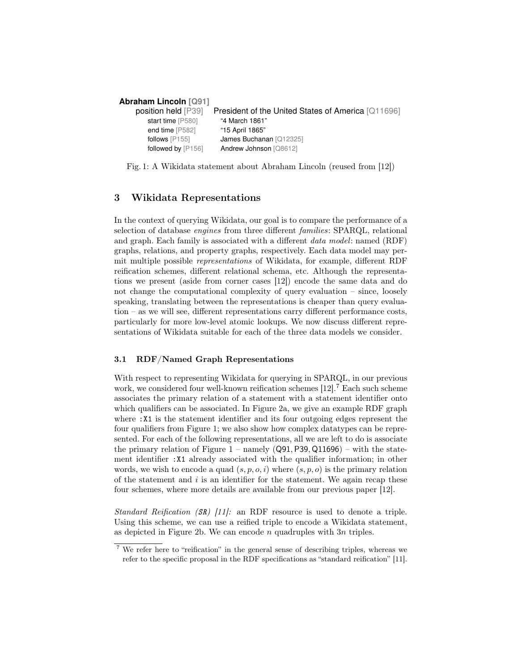#### <span id="page-3-0"></span>**Abraham Lincoln [Q91]**

```
position held [P39] President of the United States of America [Q11696]
start time [P580] "4 March 1861"
end time [P582] "15 April 1865"
follows [P155] James Buchanan [Q12325]
followed by [P156] Andrew Johnson [Q8612]
```
Fig. 1: A Wikidata statement about Abraham Lincoln (reused from [\[12\]](#page-15-3))

# 3 Wikidata Representations

In the context of querying Wikidata, our goal is to compare the performance of a selection of database engines from three different families: SPARQL, relational and graph. Each family is associated with a different *data model*: named (RDF) graphs, relations, and property graphs, respectively. Each data model may permit multiple possible representations of Wikidata, for example, different RDF reification schemes, different relational schema, etc. Although the representations we present (aside from corner cases [\[12\]](#page-15-3)) encode the same data and do not change the computational complexity of query evaluation – since, loosely speaking, translating between the representations is cheaper than query evaluation – as we will see, different representations carry different performance costs, particularly for more low-level atomic lookups. We now discuss different representations of Wikidata suitable for each of the three data models we consider.

#### 3.1 RDF/Named Graph Representations

With respect to representing Wikidata for querying in SPARQL, in our previous work, we considered four well-known reification schemes [\[12\]](#page-15-3).<sup>[7](#page-3-1)</sup> Each such scheme associates the primary relation of a statement with a statement identifier onto which qualifiers can be associated. In Figure [2a,](#page-4-0) we give an example RDF graph where : X1 is the statement identifier and its four outgoing edges represent the four qualifiers from Figure [1;](#page-3-0) we also show how complex datatypes can be represented. For each of the following representations, all we are left to do is associate the primary relation of Figure [1](#page-3-0) – namely  $(Q91, P39, Q11696)$  – with the statement identifier :X1 already associated with the qualifier information; in other words, we wish to encode a quad  $(s, p, o, i)$  where  $(s, p, o)$  is the primary relation of the statement and  $i$  is an identifier for the statement. We again recap these four schemes, where more details are available from our previous paper [\[12\]](#page-15-3).

Standard Reification (SR) [\[11\]](#page-15-2): an RDF resource is used to denote a triple. Using this scheme, we can use a reified triple to encode a Wikidata statement, as depicted in Figure [2b.](#page-4-0) We can encode  $n$  quadruples with  $3n$  triples.

<span id="page-3-1"></span><sup>7</sup> We refer here to "reification" in the general sense of describing triples, whereas we refer to the specific proposal in the RDF specifications as "standard reification" [\[11\]](#page-15-2).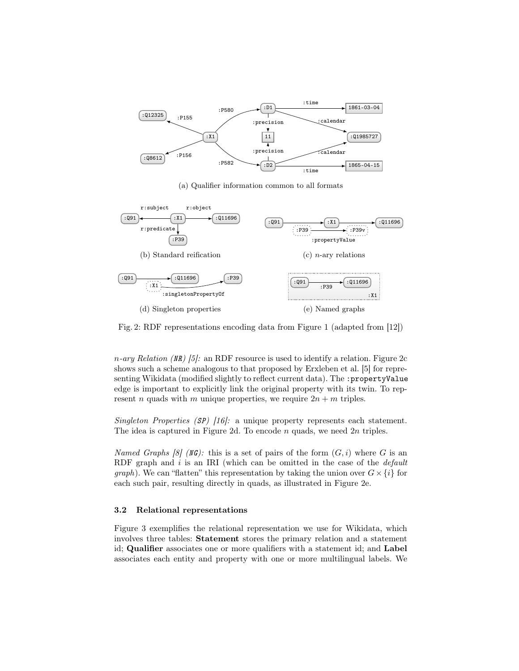<span id="page-4-0"></span>

(a) Qualifier information common to all formats



Fig. 2: RDF representations encoding data from Figure [1](#page-3-0) (adapted from [\[12\]](#page-15-3))

 $n$ -ary Relation (NR) [\[5\]](#page-15-12): an RDF resource is used to identify a relation. Figure [2c](#page-4-0) shows such a scheme analogous to that proposed by Erxleben et al. [\[5\]](#page-15-12) for representing Wikidata (modified slightly to reflect current data). The : propertyValue edge is important to explicitly link the original property with its twin. To represent *n* quads with *m* unique properties, we require  $2n + m$  triples.

Singleton Properties  $(SP)$  [\[16\]](#page-15-13): a unique property represents each statement. The idea is captured in Figure [2d.](#page-4-0) To encode  $n$  quads, we need  $2n$  triples.

Named Graphs [\[8\]](#page-15-14) (NG): this is a set of pairs of the form  $(G, i)$  where G is an RDF graph and  $i$  is an IRI (which can be omitted in the case of the *default graph*). We can "flatten" this representation by taking the union over  $G \times \{i\}$  for each such pair, resulting directly in quads, as illustrated in Figure [2e.](#page-4-0)

#### 3.2 Relational representations

Figure [3](#page-5-0) exemplifies the relational representation we use for Wikidata, which involves three tables: Statement stores the primary relation and a statement id; Qualifier associates one or more qualifiers with a statement id; and Label associates each entity and property with one or more multilingual labels. We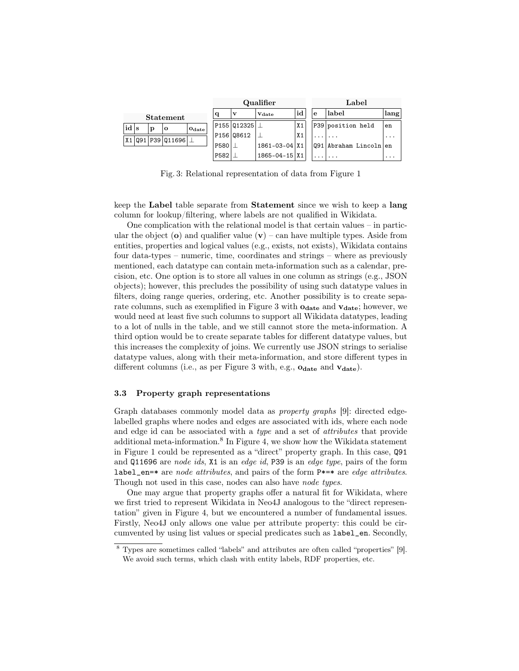<span id="page-5-0"></span>

|                  |  |   |                                                                   |       | Qualifier |             |                     |                |          | Label                  |          |  |
|------------------|--|---|-------------------------------------------------------------------|-------|-----------|-------------|---------------------|----------------|----------|------------------------|----------|--|
| <b>Statement</b> |  |   |                                                                   |       | q         | v           | Vdate               | id             | е        | label                  | lang     |  |
| id  s            |  | p | l O                                                               | Odate |           | P155 012325 |                     | X <sub>1</sub> |          | P39 position held      | en       |  |
|                  |  |   | $\vert$ X1 $\vert$ Q91 $\vert$ P39 $\vert$ Q11696 $\vert$ $\perp$ |       |           | P156 08612  |                     | X <sub>1</sub> | $\cdots$ |                        | $\cdots$ |  |
|                  |  |   |                                                                   |       | P580      |             | $1861 - 03 - 04$ X1 |                |          | 091 Abraham Lincoln en |          |  |
|                  |  |   |                                                                   |       | P582      |             | $1865 - 04 - 15$ X1 |                | $\cdots$ |                        | $\cdots$ |  |

Fig. 3: Relational representation of data from Figure [1](#page-3-0)

keep the Label table separate from Statement since we wish to keep a lang column for lookup/filtering, where labels are not qualified in Wikidata.

One complication with the relational model is that certain values – in particular the object (o) and qualifier value  $(v)$  – can have multiple types. Aside from entities, properties and logical values (e.g., exists, not exists), Wikidata contains four data-types – numeric, time, coordinates and strings – where as previously mentioned, each datatype can contain meta-information such as a calendar, precision, etc. One option is to store all values in one column as strings (e.g., JSON objects); however, this precludes the possibility of using such datatype values in filters, doing range queries, ordering, etc. Another possibility is to create sepa-rate columns, such as exemplified in Figure [3](#page-5-0) with  $o_{\text{date}}$  and  $v_{\text{date}}$ ; however, we would need at least five such columns to support all Wikidata datatypes, leading to a lot of nulls in the table, and we still cannot store the meta-information. A third option would be to create separate tables for different datatype values, but this increases the complexity of joins. We currently use JSON strings to serialise datatype values, along with their meta-information, and store different types in different columns (i.e., as per Figure [3](#page-5-0) with, e.g.,  $o_{\text{date}}$  and  $v_{\text{date}}$ ).

#### 3.3 Property graph representations

Graph databases commonly model data as *property graphs* [\[9\]](#page-15-15): directed edgelabelled graphs where nodes and edges are associated with ids, where each node and edge id can be associated with a type and a set of attributes that provide additional meta-information.<sup>[8](#page-5-1)</sup> In Figure [4,](#page-6-0) we show how the Wikidata statement in Figure [1](#page-3-0) could be represented as a "direct" property graph. In this case, Q91 and Q11696 are node ids, X1 is an edge id, P39 is an edge type, pairs of the form label\_en=\* are node attributes, and pairs of the form  $P*=*$  are edge attributes. Though not used in this case, nodes can also have *node types*.

One may argue that property graphs offer a natural fit for Wikidata, where we first tried to represent Wikidata in Neo4J analogous to the "direct representation" given in Figure [4,](#page-6-0) but we encountered a number of fundamental issues. Firstly, Neo4J only allows one value per attribute property: this could be circumvented by using list values or special predicates such as label\_en. Secondly,

<span id="page-5-1"></span><sup>8</sup> Types are sometimes called "labels" and attributes are often called "properties" [\[9\]](#page-15-15). We avoid such terms, which clash with entity labels, RDF properties, etc.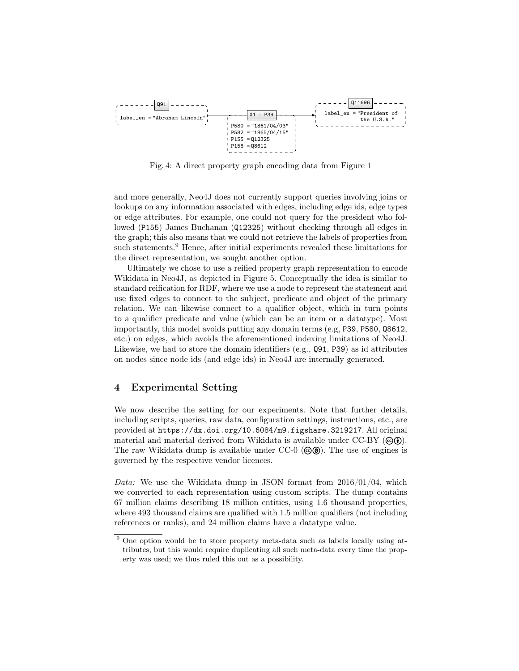<span id="page-6-0"></span>

Fig. 4: A direct property graph encoding data from Figure [1](#page-3-0)

and more generally, Neo4J does not currently support queries involving joins or lookups on any information associated with edges, including edge ids, edge types or edge attributes. For example, one could not query for the president who followed (P155) James Buchanan (Q12325) without checking through all edges in the graph; this also means that we could not retrieve the labels of properties from such statements.<sup>[9](#page-6-1)</sup> Hence, after initial experiments revealed these limitations for the direct representation, we sought another option.

Ultimately we chose to use a reified property graph representation to encode Wikidata in Neo4J, as depicted in Figure [5.](#page-7-0) Conceptually the idea is similar to standard reification for RDF, where we use a node to represent the statement and use fixed edges to connect to the subject, predicate and object of the primary relation. We can likewise connect to a qualifier object, which in turn points to a qualifier predicate and value (which can be an item or a datatype). Most importantly, this model avoids putting any domain terms (e.g, P39, P580, Q8612, etc.) on edges, which avoids the aforementioned indexing limitations of Neo4J. Likewise, we had to store the domain identifiers (e.g., Q91, P39) as id attributes on nodes since node ids (and edge ids) in Neo4J are internally generated.

# 4 Experimental Setting

We now describe the setting for our experiments. Note that further details, including scripts, queries, raw data, configuration settings, instructions, etc., are provided at <https://dx.doi.org/10.6084/m9.figshare.3219217>. All original material and material derived from Wikidata is available under CC-BY  $(\mathbf{\Theta})$ . The raw Wikidata dump is available under CC-0  $(\bigcirc \mathbf{Q})$ . The use of engines is governed by the respective vendor licences.

Data: We use the Wikidata dump in JSON format from  $2016/01/04$ , which we converted to each representation using custom scripts. The dump contains 67 million claims describing 18 million entities, using 1.6 thousand properties, where 493 thousand claims are qualified with 1.5 million qualifiers (not including references or ranks), and 24 million claims have a datatype value.

<span id="page-6-1"></span><sup>&</sup>lt;sup>9</sup> One option would be to store property meta-data such as labels locally using attributes, but this would require duplicating all such meta-data every time the property was used; we thus ruled this out as a possibility.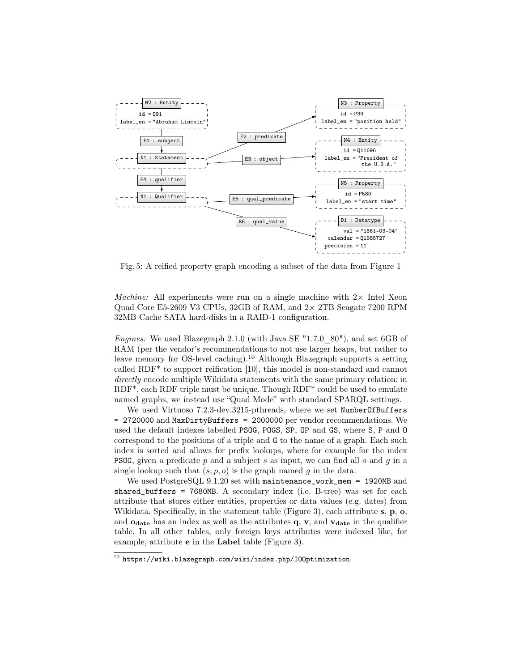<span id="page-7-0"></span>

Fig. 5: A reified property graph encoding a subset of the data from Figure [1](#page-3-0)

*Machine:* All experiments were run on a single machine with  $2 \times$  Intel Xeon Quad Core E5-2609 V3 CPUs, 32GB of RAM, and 2× 2TB Seagate 7200 RPM 32MB Cache SATA hard-disks in a RAID-1 configuration.

Engines: We used Blazegraph 2.1.0 (with Java SE  $"1.7.0$   $"80"$ ), and set 6GB of RAM (per the vendor's recommendations to not use larger heaps, but rather to leave memory for OS-level caching).<sup>[10](#page-7-1)</sup> Although Blazegraph supports a setting called RDF\* to support reification [\[10\]](#page-15-16), this model is non-standard and cannot directly encode multiple Wikidata statements with the same primary relation: in RDF\*, each RDF triple must be unique. Though RDF\* could be used to emulate named graphs, we instead use "Quad Mode" with standard SPARQL settings.

We used Virtuoso 7.2.3-dev.3215-pthreads, where we set NumberOfBuffers = 2720000 and MaxDirtyBuffers = 2000000 per vendor recommendations. We used the default indexes labelled PSOG, POGS, SP, OP and GS, where S, P and O correspond to the positions of a triple and G to the name of a graph. Each such index is sorted and allows for prefix lookups, where for example for the index **PSOG**, given a predicate p and a subject s as input, we can find all o and q in a single lookup such that  $(s, p, o)$  is the graph named g in the data.

We used PostgreSQL 9.1.20 set with maintenance\_work\_mem = 1920MB and shared\_buffers = 7680MB. A secondary index (i.e. B-tree) was set for each attribute that stores either entities, properties or data values (e.g. dates) from Wikidata. Specifically, in the statement table (Figure [3\)](#page-5-0), each attribute s, p, o, and  $o_{\text{date}}$  has an index as well as the attributes  $q, v$ , and  $v_{\text{date}}$  in the qualifier table. In all other tables, only foreign keys attributes were indexed like, for example, attribute e in the Label table (Figure [3\)](#page-5-0).

<span id="page-7-1"></span> $^{10}$ <https://wiki.blazegraph.com/wiki/index.php/IOOptimization>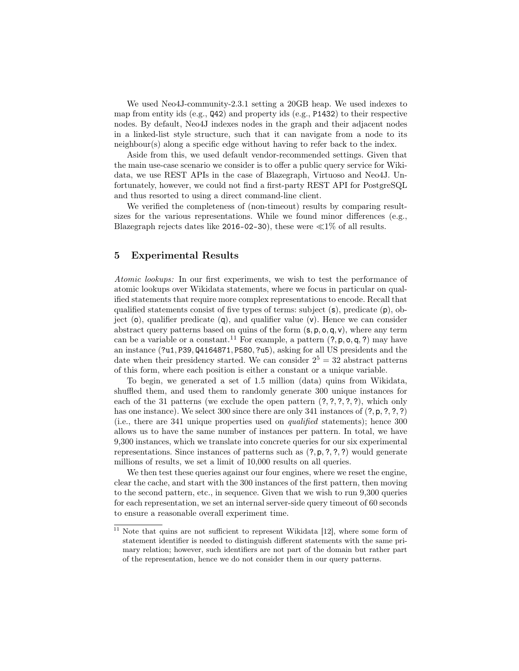We used Neo4J-community-2.3.1 setting a 20GB heap. We used indexes to map from entity ids (e.g.,  $Q42$ ) and property ids (e.g., P1432) to their respective nodes. By default, Neo4J indexes nodes in the graph and their adjacent nodes in a linked-list style structure, such that it can navigate from a node to its neighbour(s) along a specific edge without having to refer back to the index.

Aside from this, we used default vendor-recommended settings. Given that the main use-case scenario we consider is to offer a public query service for Wikidata, we use REST APIs in the case of Blazegraph, Virtuoso and Neo4J. Unfortunately, however, we could not find a first-party REST API for PostgreSQL and thus resorted to using a direct command-line client.

We verified the completeness of (non-timeout) results by comparing resultsizes for the various representations. While we found minor differences (e.g., Blazegraph rejects dates like 2016-02-30), these were  $\ll 1\%$  of all results.

# 5 Experimental Results

Atomic lookups: In our first experiments, we wish to test the performance of atomic lookups over Wikidata statements, where we focus in particular on qualified statements that require more complex representations to encode. Recall that qualified statements consist of five types of terms: subject  $(s)$ , predicate  $(p)$ , object  $(o)$ , qualifier predicate  $(q)$ , and qualifier value  $(v)$ . Hence we can consider abstract query patterns based on quins of the form  $(s, p, o, q, v)$ , where any term can be a variable or a constant.<sup>[11](#page-8-0)</sup> For example, a pattern  $(2, p, o, q, ?)$  may have an instance (?u1, P39, Q4164871, P580, ?u5), asking for all US presidents and the date when their presidency started. We can consider  $2^5 = 32$  abstract patterns of this form, where each position is either a constant or a unique variable.

To begin, we generated a set of 1.5 million (data) quins from Wikidata, shuffled them, and used them to randomly generate 300 unique instances for each of the 31 patterns (we exclude the open pattern  $(2, 2, 2, 2, 2)$ , which only has one instance). We select 300 since there are only 341 instances of  $(2, p, 2, 2, 3)$ (i.e., there are 341 unique properties used on qualified statements); hence 300 allows us to have the same number of instances per pattern. In total, we have 9,300 instances, which we translate into concrete queries for our six experimental representations. Since instances of patterns such as (?, p, ?, ?, ?) would generate millions of results, we set a limit of  $10,000$  results on all queries.

We then test these queries against our four engines, where we reset the engine, clear the cache, and start with the 300 instances of the first pattern, then moving to the second pattern, etc., in sequence. Given that we wish to run 9,300 queries for each representation, we set an internal server-side query timeout of 60 seconds to ensure a reasonable overall experiment time.

<span id="page-8-0"></span><sup>&</sup>lt;sup>11</sup> Note that quins are not sufficient to represent Wikidata [\[12\]](#page-15-3), where some form of statement identifier is needed to distinguish different statements with the same primary relation; however, such identifiers are not part of the domain but rather part of the representation, hence we do not consider them in our query patterns.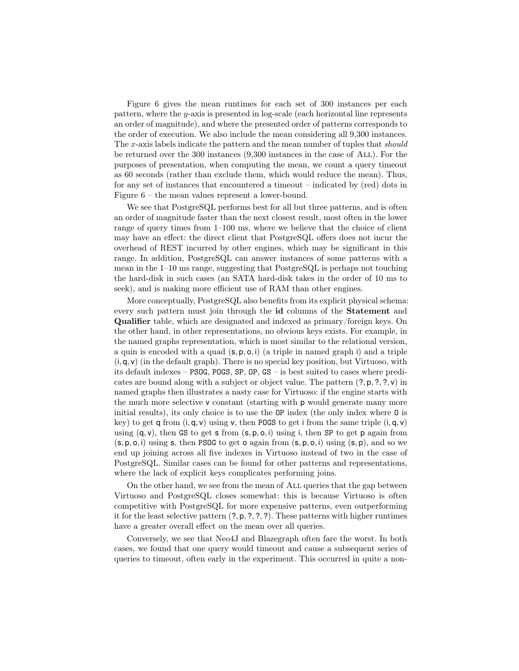Figure [6](#page-10-0) gives the mean runtimes for each set of 300 instances per each pattern, where the y-axis is presented in log-scale (each horizontal line represents an order of magnitude), and where the presented order of patterns corresponds to the order of execution. We also include the mean considering all 9,300 instances. The x-axis labels indicate the pattern and the mean number of tuples that *should* be returned over the 300 instances (9,300 instances in the case of All). For the purposes of presentation, when computing the mean, we count a query timeout as 60 seconds (rather than exclude them, which would reduce the mean). Thus, for any set of instances that encountered a timeout – indicated by (red) dots in Figure [6](#page-10-0) – the mean values represent a lower-bound.

We see that PostgreSQL performs best for all but three patterns, and is often an order of magnitude faster than the next closest result, most often in the lower range of query times from 1–100 ms, where we believe that the choice of client may have an effect: the direct client that PostgreSQL offers does not incur the overhead of REST incurred by other engines, which may be significant in this range. In addition, PostgreSQL can answer instances of some patterns with a mean in the 1–10 ms range, suggesting that PostgreSQL is perhaps not touching the hard-disk in such cases (an SATA hard-disk takes in the order of 10 ms to seek), and is making more efficient use of RAM than other engines.

More conceptually, PostgreSQL also benefits from its explicit physical schema: every such pattern must join through the id columns of the Statement and Qualifier table, which are designated and indexed as primary/foreign keys. On the other hand, in other representations, no obvious keys exists. For example, in the named graphs representation, which is most similar to the relational version, a quin is encoded with a quad  $(s, p, o, i)$  (a triple in named graph i) and a triple  $(i, q, v)$  (in the default graph). There is no special key position, but Virtuoso, with its default indexes – PSOG, POGS, SP, OP, GS – is best suited to cases where predicates are bound along with a subject or object value. The pattern  $(2, p, 2, 3, v)$  in named graphs then illustrates a nasty case for Virtuoso: if the engine starts with the much more selective  $\bf{v}$  constant (starting with  $\bf{p}$  would generate many more initial results), its only choice is to use the OP index (the only index where O is key) to get q from  $(i, q, v)$  using v, then POGS to get i from the same triple  $(i, q, v)$ using  $(q, v)$ , then GS to get s from  $(s, p, o, i)$  using i, then SP to get p again from  $(s, p, o, i)$  using s, then PSOG to get o again from  $(s, p, o, i)$  using  $(s, p)$ , and so we end up joining across all five indexes in Virtuoso instead of two in the case of PostgreSQL. Similar cases can be found for other patterns and representations, where the lack of explicit keys complicates performing joins.

On the other hand, we see from the mean of All queries that the gap between Virtuoso and PostgreSQL closes somewhat: this is because Virtuoso is often competitive with PostgreSQL for more expensive patterns, even outperforming it for the least selective pattern  $(2, p, 2, 2, 2)$ . These patterns with higher runtimes have a greater overall effect on the mean over all queries.

Conversely, we see that Neo4J and Blazegraph often fare the worst. In both cases, we found that one query would timeout and cause a subsequent series of queries to timeout, often early in the experiment. This occurred in quite a non-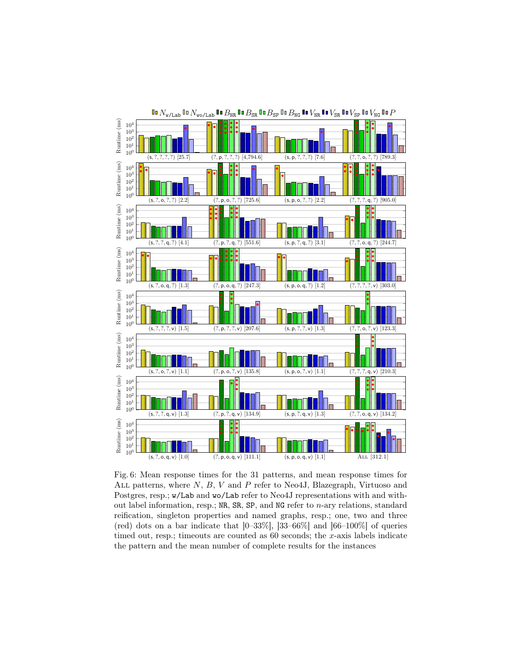<span id="page-10-0"></span>

Fig. 6: Mean response times for the 31 patterns, and mean response times for ALL patterns, where N, B, V and P refer to Neo4J, Blazegraph, Virtuoso and Postgres, resp.; w/Lab and wo/Lab refer to Neo4J representations with and without label information, resp.; NR, SR, SP, and NG refer to  $n$ -ary relations, standard reification, singleton properties and named graphs, resp.; one, two and three (red) dots on a bar indicate that  $[0-33\%]$ ,  $[33-66\%]$  and  $[66-100\%]$  of queries timed out, resp.; timeouts are counted as  $60$  seconds; the x-axis labels indicate the pattern and the mean number of complete results for the instances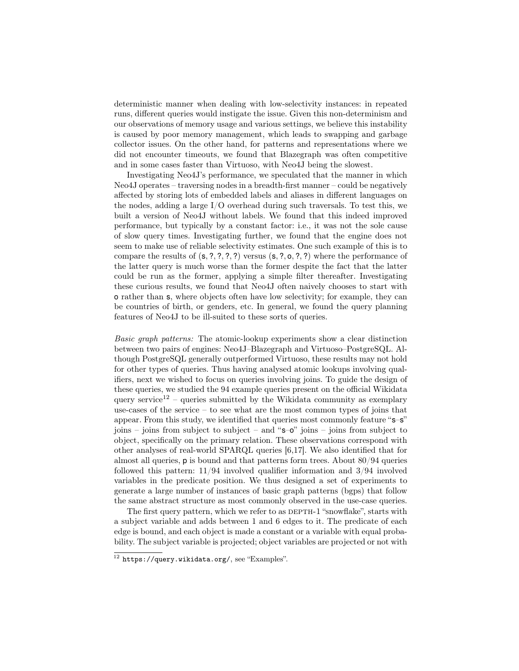deterministic manner when dealing with low-selectivity instances: in repeated runs, different queries would instigate the issue. Given this non-determinism and our observations of memory usage and various settings, we believe this instability is caused by poor memory management, which leads to swapping and garbage collector issues. On the other hand, for patterns and representations where we did not encounter timeouts, we found that Blazegraph was often competitive and in some cases faster than Virtuoso, with Neo4J being the slowest.

Investigating Neo4J's performance, we speculated that the manner in which Neo4J operates – traversing nodes in a breadth-first manner – could be negatively affected by storing lots of embedded labels and aliases in different languages on the nodes, adding a large I/O overhead during such traversals. To test this, we built a version of Neo4J without labels. We found that this indeed improved performance, but typically by a constant factor: i.e., it was not the sole cause of slow query times. Investigating further, we found that the engine does not seem to make use of reliable selectivity estimates. One such example of this is to compare the results of  $(s, ?, ?, ?, ?)$  versus  $(s, ?, o, ?, ?)$  where the performance of the latter query is much worse than the former despite the fact that the latter could be run as the former, applying a simple filter thereafter. Investigating these curious results, we found that Neo4J often naively chooses to start with o rather than s, where objects often have low selectivity; for example, they can be countries of birth, or genders, etc. In general, we found the query planning features of Neo4J to be ill-suited to these sorts of queries.

Basic graph patterns: The atomic-lookup experiments show a clear distinction between two pairs of engines: Neo4J–Blazegraph and Virtuoso–PostgreSQL. Although PostgreSQL generally outperformed Virtuoso, these results may not hold for other types of queries. Thus having analysed atomic lookups involving qualifiers, next we wished to focus on queries involving joins. To guide the design of these queries, we studied the 94 example queries present on the official Wikidata query service<sup>[12](#page-11-0)</sup> – queries submitted by the Wikidata community as exemplary use-cases of the service – to see what are the most common types of joins that appear. From this study, we identified that queries most commonly feature "s-s" joins – joins from subject to subject – and "s–o" joins – joins from subject to object, specifically on the primary relation. These observations correspond with other analyses of real-world SPARQL queries [\[6,](#page-15-17)[17\]](#page-15-18). We also identified that for almost all queries,  $\boldsymbol{p}$  is bound and that patterns form trees. About 80/94 queries followed this pattern: 11/94 involved qualifier information and 3/94 involved variables in the predicate position. We thus designed a set of experiments to generate a large number of instances of basic graph patterns (bgps) that follow the same abstract structure as most commonly observed in the use-case queries.

The first query pattern, which we refer to as DEPTH-1 "snowflake", starts with a subject variable and adds between 1 and 6 edges to it. The predicate of each edge is bound, and each object is made a constant or a variable with equal probability. The subject variable is projected; object variables are projected or not with

<span id="page-11-0"></span> $12$  <https://query.wikidata.org/>, see "Examples".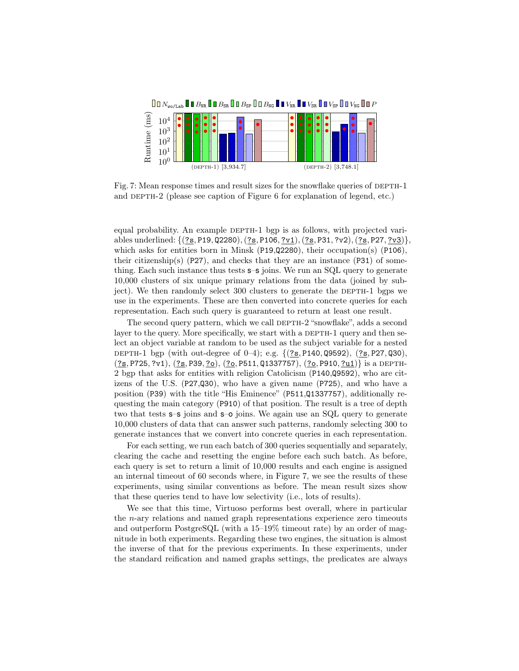<span id="page-12-0"></span>

Fig. 7: Mean response times and result sizes for the snowflake queries of DEPTH-1 and DEPTH-2 (please see caption of Figure [6](#page-10-0) for explanation of legend, etc.)

equal probability. An example DEPTH-1 bgp is as follows, with projected variables underlined:  $\{(?s, P19, Q2280), (?s, P106, ?v1), (?s, P31, ?v2), (?s, P27, ?v3)\}$ which asks for entities born in Minsk (P19,Q2280), their occupation(s) (P106), their citizenship(s)  $(P27)$ , and checks that they are an instance  $(P31)$  of something. Each such instance thus tests s–s joins. We run an SQL query to generate 10,000 clusters of six unique primary relations from the data (joined by subject). We then randomly select 300 clusters to generate the DEPTH-1 bgps we use in the experiments. These are then converted into concrete queries for each representation. Each such query is guaranteed to return at least one result.

The second query pattern, which we call DEPTH-2 "snowflake", adds a second layer to the query. More specifically, we start with a  $DEPTH-1$  query and then select an object variable at random to be used as the subject variable for a nested DEPTH-1 bgp (with out-degree of 0–4); e.g.  $\{(?s, P140, Q9592), (?s, P27, Q30),\}$  $(2s, P725, ?v1), (2s, P39, ?0), (2s, P511, Q1337757), (2s, P910, 2u1)$  is a DEPTH-2 bgp that asks for entities with religion Catolicism (P140,Q9592), who are citizens of the U.S. (P27,Q30), who have a given name (P725), and who have a position (P39) with the title "His Eminence" (P511,Q1337757), additionally requesting the main category (P910) of that position. The result is a tree of depth two that tests s–s joins and s–o joins. We again use an SQL query to generate 10,000 clusters of data that can answer such patterns, randomly selecting 300 to generate instances that we convert into concrete queries in each representation.

For each setting, we run each batch of 300 queries sequentially and separately, clearing the cache and resetting the engine before each such batch. As before, each query is set to return a limit of 10,000 results and each engine is assigned an internal timeout of 60 seconds where, in Figure [7,](#page-12-0) we see the results of these experiments, using similar conventions as before. The mean result sizes show that these queries tend to have low selectivity (i.e., lots of results).

We see that this time, Virtuoso performs best overall, where in particular the n-ary relations and named graph representations experience zero timeouts and outperform PostgreSQL (with a 15–19% timeout rate) by an order of magnitude in both experiments. Regarding these two engines, the situation is almost the inverse of that for the previous experiments. In these experiments, under the standard reification and named graphs settings, the predicates are always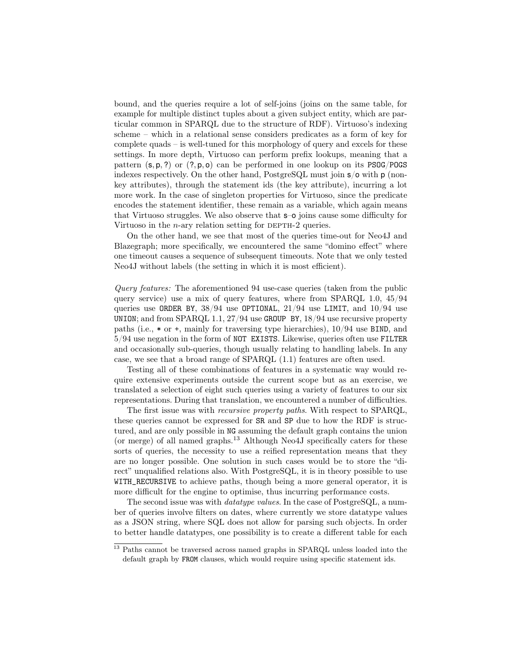bound, and the queries require a lot of self-joins (joins on the same table, for example for multiple distinct tuples about a given subject entity, which are particular common in SPARQL due to the structure of RDF). Virtuoso's indexing scheme – which in a relational sense considers predicates as a form of key for complete quads – is well-tuned for this morphology of query and excels for these settings. In more depth, Virtuoso can perform prefix lookups, meaning that a pattern  $(s, p, ?)$  or  $(?, p, o)$  can be performed in one lookup on its PSOG/POGS indexes respectively. On the other hand, PostgreSQL must join s/o with p (nonkey attributes), through the statement ids (the key attribute), incurring a lot more work. In the case of singleton properties for Virtuoso, since the predicate encodes the statement identifier, these remain as a variable, which again means that Virtuoso struggles. We also observe that s–o joins cause some difficulty for Virtuoso in the  $n$ -ary relation setting for DEPTH-2 queries.

On the other hand, we see that most of the queries time-out for Neo4J and Blazegraph; more specifically, we encountered the same "domino effect" where one timeout causes a sequence of subsequent timeouts. Note that we only tested Neo4J without labels (the setting in which it is most efficient).

Query features: The aforementioned 94 use-case queries (taken from the public query service) use a mix of query features, where from SPARQL 1.0, 45/94 queries use ORDER BY,  $38/94$  use OPTIONAL,  $21/94$  use LIMIT, and  $10/94$  use UNION; and from SPARQL 1.1,  $27/94$  use GROUP BY,  $18/94$  use recursive property paths (i.e.,  $*$  or  $*$ , mainly for traversing type hierarchies),  $10/94$  use BIND, and 5/94 use negation in the form of NOT EXISTS. Likewise, queries often use FILTER and occasionally sub-queries, though usually relating to handling labels. In any case, we see that a broad range of SPARQL (1.1) features are often used.

Testing all of these combinations of features in a systematic way would require extensive experiments outside the current scope but as an exercise, we translated a selection of eight such queries using a variety of features to our six representations. During that translation, we encountered a number of difficulties.

The first issue was with recursive property paths. With respect to SPARQL, these queries cannot be expressed for SR and SP due to how the RDF is structured, and are only possible in NG assuming the default graph contains the union (or merge) of all named graphs.[13](#page-13-0) Although Neo4J specifically caters for these sorts of queries, the necessity to use a reified representation means that they are no longer possible. One solution in such cases would be to store the "direct" unqualified relations also. With PostgreSQL, it is in theory possible to use WITH\_RECURSIVE to achieve paths, though being a more general operator, it is more difficult for the engine to optimise, thus incurring performance costs.

The second issue was with datatype values. In the case of PostgreSQL, a number of queries involve filters on dates, where currently we store datatype values as a JSON string, where SQL does not allow for parsing such objects. In order to better handle datatypes, one possibility is to create a different table for each

<span id="page-13-0"></span><sup>&</sup>lt;sup>13</sup> Paths cannot be traversed across named graphs in SPARQL unless loaded into the default graph by FROM clauses, which would require using specific statement ids.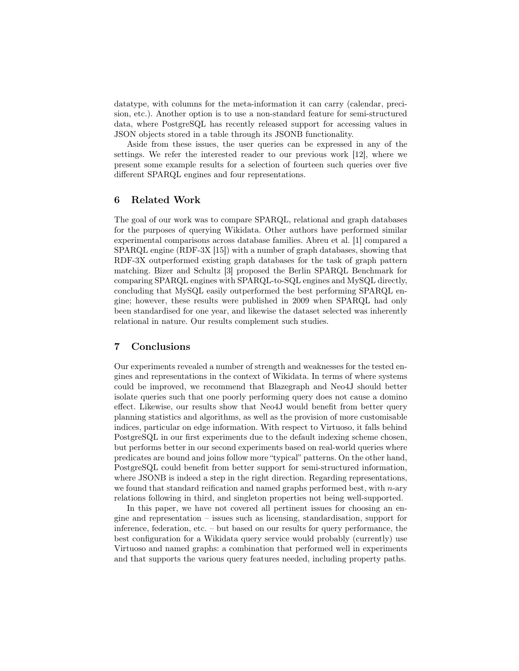datatype, with columns for the meta-information it can carry (calendar, precision, etc.). Another option is to use a non-standard feature for semi-structured data, where PostgreSQL has recently released support for accessing values in JSON objects stored in a table through its JSONB functionality.

Aside from these issues, the user queries can be expressed in any of the settings. We refer the interested reader to our previous work [\[12\]](#page-15-3), where we present some example results for a selection of fourteen such queries over five different SPARQL engines and four representations.

### 6 Related Work

The goal of our work was to compare SPARQL, relational and graph databases for the purposes of querying Wikidata. Other authors have performed similar experimental comparisons across database families. Abreu et al. [\[1\]](#page-15-19) compared a SPARQL engine (RDF-3X [\[15\]](#page-15-20)) with a number of graph databases, showing that RDF-3X outperformed existing graph databases for the task of graph pattern matching. Bizer and Schultz [\[3\]](#page-15-21) proposed the Berlin SPARQL Benchmark for comparing SPARQL engines with SPARQL-to-SQL engines and MySQL directly, concluding that MySQL easily outperformed the best performing SPARQL engine; however, these results were published in 2009 when SPARQL had only been standardised for one year, and likewise the dataset selected was inherently relational in nature. Our results complement such studies.

# 7 Conclusions

Our experiments revealed a number of strength and weaknesses for the tested engines and representations in the context of Wikidata. In terms of where systems could be improved, we recommend that Blazegraph and Neo4J should better isolate queries such that one poorly performing query does not cause a domino effect. Likewise, our results show that Neo4J would benefit from better query planning statistics and algorithms, as well as the provision of more customisable indices, particular on edge information. With respect to Virtuoso, it falls behind PostgreSQL in our first experiments due to the default indexing scheme chosen, but performs better in our second experiments based on real-world queries where predicates are bound and joins follow more "typical" patterns. On the other hand, PostgreSQL could benefit from better support for semi-structured information, where JSONB is indeed a step in the right direction. Regarding representations, we found that standard reification and named graphs performed best, with  $n$ -ary relations following in third, and singleton properties not being well-supported.

In this paper, we have not covered all pertinent issues for choosing an engine and representation – issues such as licensing, standardisation, support for inference, federation, etc. – but based on our results for query performance, the best configuration for a Wikidata query service would probably (currently) use Virtuoso and named graphs: a combination that performed well in experiments and that supports the various query features needed, including property paths.